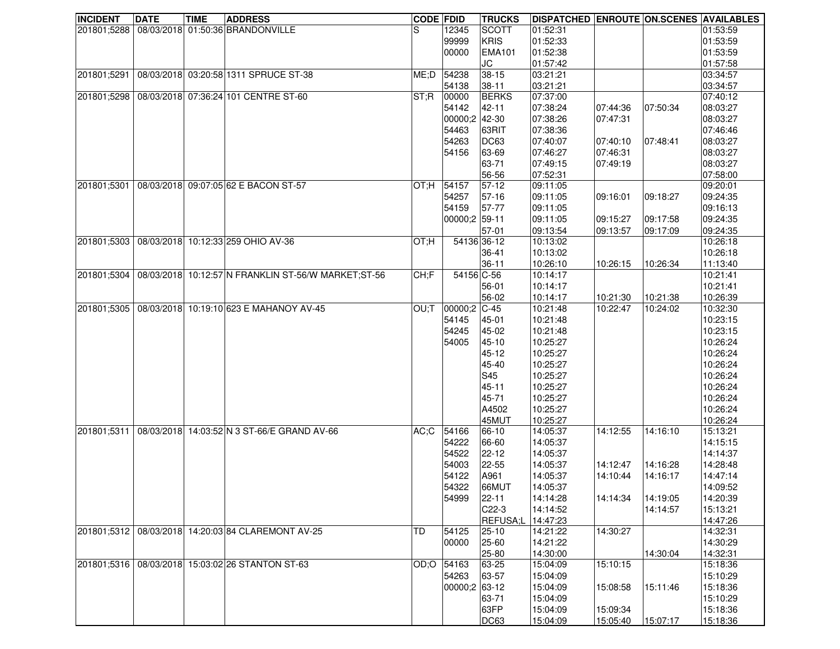| <b>INCIDENT</b> | <b>DATE</b> | <b>TIME</b> | <b>ADDRESS</b>                                      | <b>CODE FDID</b> |                  | <b>TRUCKS</b>      | DISPATCHED ENROUTE ON SCENES AVAILABLES |          |          |          |
|-----------------|-------------|-------------|-----------------------------------------------------|------------------|------------------|--------------------|-----------------------------------------|----------|----------|----------|
| 201801;5288     |             |             | 08/03/2018 01:50:36 BRANDONVILLE                    | lS.              | 12345            | <b>SCOTT</b>       | 01:52:31                                |          |          | 01:53:59 |
|                 |             |             |                                                     |                  | 99999            | <b>KRIS</b>        | 01:52:33                                |          |          | 01:53:59 |
|                 |             |             |                                                     |                  | 00000            | <b>EMA101</b>      | 01:52:38                                |          |          | 01:53:59 |
|                 |             |             |                                                     |                  |                  | JC                 | 01:57:42                                |          |          | 01:57:58 |
| 201801;5291     |             |             | 08/03/2018 03:20:58 1311 SPRUCE ST-38               | ME;D             | 54238            | $38 - 15$          | 03:21:21                                |          |          | 03:34:57 |
|                 |             |             |                                                     |                  | 54138            | $38 - 11$          | 03:21:21                                |          |          | 03:34:57 |
| 201801;5298     |             |             | 08/03/2018 07:36:24 101 CENTRE ST-60                | ST;R             | 00000            | <b>BERKS</b>       | 07:37:00                                |          |          | 07:40:12 |
|                 |             |             |                                                     |                  | 54142            | $42 - 11$          | 07:38:24                                | 07:44:36 | 07:50:34 | 08:03:27 |
|                 |             |             |                                                     |                  | 00000;2 42-30    |                    | 07:38:26                                | 07:47:31 |          | 08:03:27 |
|                 |             |             |                                                     |                  | 54463            | 63RIT              | 07:38:36                                |          |          | 07:46:46 |
|                 |             |             |                                                     |                  | 54263            | DC63               | 07:40:07                                | 07:40:10 | 07:48:41 | 08:03:27 |
|                 |             |             |                                                     |                  | 54156            | 63-69              | 07:46:27                                | 07:46:31 |          | 08:03:27 |
|                 |             |             |                                                     |                  |                  | 63-71              | 07:49:15                                | 07:49:19 |          | 08:03:27 |
|                 |             |             |                                                     |                  |                  | 56-56              | 07:52:31                                |          |          | 07:58:00 |
| 201801;5301     |             |             | 08/03/2018 09:07:05 62 E BACON ST-57                | OT;H             | 54157            | $57-12$            | 09:11:05                                |          |          | 09:20:01 |
|                 |             |             |                                                     |                  | 54257            | 57-16              | 09:11:05                                | 09:16:01 | 09:18:27 | 09:24:35 |
|                 |             |             |                                                     |                  | 54159            | 57-77              | 09:11:05                                |          |          | 09:16:13 |
|                 |             |             |                                                     |                  | 00000;2 59-11    |                    | 09:11:05                                | 09:15:27 | 09:17:58 | 09:24:35 |
|                 |             |             |                                                     |                  |                  | $57-01$            | 09:13:54                                | 09:13:57 | 09:17:09 | 09:24:35 |
| 201801;5303     |             |             | 08/03/2018 10:12:33 259 OHIO AV-36                  | OT;H             |                  | 54136 36-12        | 10:13:02                                |          |          | 10:26:18 |
|                 |             |             |                                                     |                  |                  | 36-41              | 10:13:02                                |          |          | 10:26:18 |
|                 |             |             |                                                     |                  |                  | $36 - 11$          | 10:26:10                                | 10:26:15 | 10:26:34 | 11:13:40 |
| 201801;5304     |             |             | 08/03/2018 10:12:57 N FRANKLIN ST-56/W MARKET;ST-56 | CH;F             | 54156 C-56       |                    | 10:14:17                                |          |          | 10:21:41 |
|                 |             |             |                                                     |                  |                  | 56-01              | 10:14:17                                |          |          | 10:21:41 |
|                 |             |             |                                                     |                  |                  | 56-02              | 10:14:17                                | 10:21:30 | 10:21:38 | 10:26:39 |
| 201801;5305     |             |             | 08/03/2018 10:19:10 623 E MAHANOY AV-45             | OU;T             | $ 00000;2 C-45$  |                    | 10:21:48                                | 10:22:47 | 10:24:02 | 10:32:30 |
|                 |             |             |                                                     |                  | 54145            | 45-01              | 10:21:48                                |          |          | 10:23:15 |
|                 |             |             |                                                     |                  | 54245            | 45-02              | 10:21:48                                |          |          | 10:23:15 |
|                 |             |             |                                                     |                  | 54005            | 45-10              | 10:25:27                                |          |          | 10:26:24 |
|                 |             |             |                                                     |                  |                  | 45-12              | 10:25:27                                |          |          | 10:26:24 |
|                 |             |             |                                                     |                  |                  | 45-40              | 10:25:27                                |          |          | 10:26:24 |
|                 |             |             |                                                     |                  |                  | S45                | 10:25:27                                |          |          | 10:26:24 |
|                 |             |             |                                                     |                  |                  | 45-11              | 10:25:27                                |          |          | 10:26:24 |
|                 |             |             |                                                     |                  |                  | 45-71              | 10:25:27                                |          |          | 10:26:24 |
|                 |             |             |                                                     |                  |                  | A4502              | 10:25:27                                |          |          | 10:26:24 |
|                 |             |             |                                                     |                  |                  | 45MUT              | 10:25:27                                |          |          | 10:26:24 |
| 201801;5311     |             |             | 08/03/2018 14:03:52 N 3 ST-66/E GRAND AV-66         | AC;C             | 54166            | 66-10              | 14:05:37                                | 14:12:55 | 14:16:10 | 15:13:21 |
|                 |             |             |                                                     |                  | 54222            | 66-60              | 14:05:37                                |          |          | 14:15:15 |
|                 |             |             |                                                     |                  | 54522            | $22 - 12$          | 14:05:37                                |          |          | 14:14:37 |
|                 |             |             |                                                     |                  | 54003            | 22-55              | 14:05:37                                | 14:12:47 | 14:16:28 | 14:28:48 |
|                 |             |             |                                                     |                  | 54122            | A961               | 14:05:37                                | 14:10:44 | 14:16:17 | 14:47:14 |
|                 |             |             |                                                     |                  | 54322            | 66MUT              | 14:05:37                                |          |          | 14:09:52 |
|                 |             |             |                                                     |                  | 54999            | $22 - 11$          | 14:14:28                                | 14:14:34 | 14:19:05 | 14:20:39 |
|                 |             |             |                                                     |                  |                  | C <sub>22</sub> -3 | 14:14:52                                |          | 14:14:57 | 15:13:21 |
|                 |             |             |                                                     |                  |                  | REFUSA;L 14:47:23  |                                         |          |          | 14:47:26 |
| 201801;5312     |             |             | 08/03/2018 14:20:03 84 CLAREMONT AV-25              | TD               | 54125            | $25 - 10$          | 14:21:22                                | 14:30:27 |          | 14:32:31 |
|                 |             |             |                                                     |                  | 00000            | 25-60              | 14:21:22                                |          |          | 14:30:29 |
|                 |             |             |                                                     |                  |                  | 25-80              | 14:30:00                                |          | 14:30:04 | 14:32:31 |
|                 |             |             | 201801;5316 08/03/2018 15:03:02 26 STANTON ST-63    | OD;O             | 54163            | 63-25              | 15:04:09                                | 15:10:15 |          | 15:18:36 |
|                 |             |             |                                                     |                  | 54263            | 63-57              | 15:04:09                                |          |          | 15:10:29 |
|                 |             |             |                                                     |                  | $ 00000;2 63-12$ |                    | 15:04:09                                | 15:08:58 | 15:11:46 | 15:18:36 |
|                 |             |             |                                                     |                  |                  | 63-71              | 15:04:09                                |          |          | 15:10:29 |
|                 |             |             |                                                     |                  |                  | 63FP               | 15:04:09                                | 15:09:34 |          | 15:18:36 |
|                 |             |             |                                                     |                  |                  | <b>DC63</b>        | 15:04:09                                | 15:05:40 | 15:07:17 | 15:18:36 |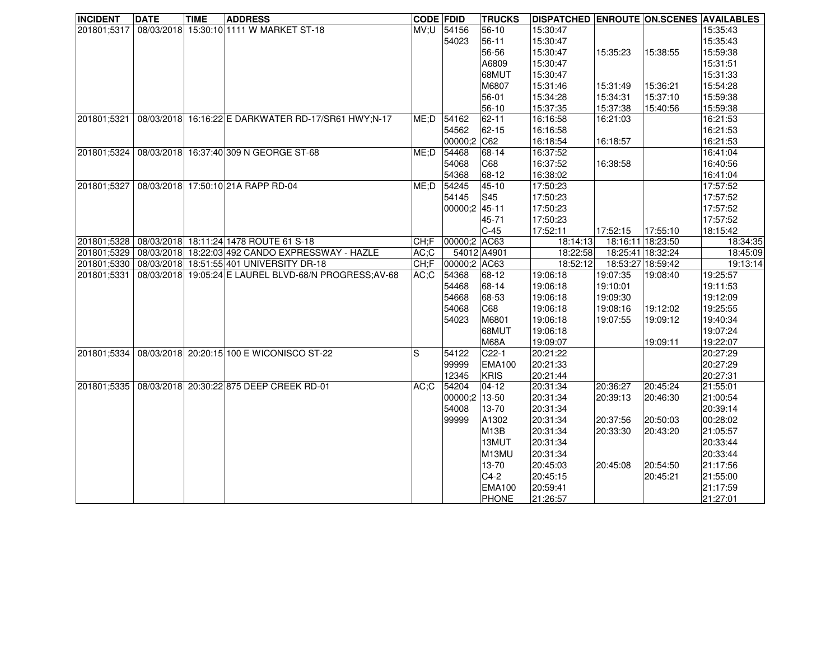| <b>INCIDENT</b> | <b>DATE</b> | <b>TIME</b> | <b>ADDRESS</b>                                         | <b>CODE FDID</b> |               | <b>TRUCKS</b>     | <b>DISPATCHED ENROUTE ON.SCENES AVAILABLES</b> |          |                   |          |
|-----------------|-------------|-------------|--------------------------------------------------------|------------------|---------------|-------------------|------------------------------------------------|----------|-------------------|----------|
| 201801;5317     |             |             | 08/03/2018 15:30:10 1111 W MARKET ST-18                | MV;U 54156       |               | $56-10$           | 15:30:47                                       |          |                   | 15:35:43 |
|                 |             |             |                                                        |                  | 54023         | $56 - 11$         | 15:30:47                                       |          |                   | 15:35:43 |
|                 |             |             |                                                        |                  |               | 56-56             | 15:30:47                                       | 15:35:23 | 15:38:55          | 15:59:38 |
|                 |             |             |                                                        |                  |               | A6809             | 15:30:47                                       |          |                   | 15:31:51 |
|                 |             |             |                                                        |                  |               | 68MUT             | 15:30:47                                       |          |                   | 15:31:33 |
|                 |             |             |                                                        |                  |               | M6807             | 15:31:46                                       | 15:31:49 | 15:36:21          | 15:54:28 |
|                 |             |             |                                                        |                  |               | 56-01             | 15:34:28                                       | 15:34:31 | 15:37:10          | 15:59:38 |
|                 |             |             |                                                        |                  |               | 56-10             | 15:37:35                                       | 15:37:38 | 15:40:56          | 15:59:38 |
| 201801;5321     |             |             | 08/03/2018 16:16:22 E DARKWATER RD-17/SR61 HWY;N-17    | ME;D             | 54162         | $62 - 11$         | 16:16:58                                       | 16:21:03 |                   | 16:21:53 |
|                 |             |             |                                                        |                  | 54562         | 62-15             | 16:16:58                                       |          |                   | 16:21:53 |
|                 |             |             |                                                        |                  | 00000;2 C62   |                   | 16:18:54                                       | 16:18:57 |                   | 16:21:53 |
| 201801;5324     |             |             | 08/03/2018 16:37:40 309 N GEORGE ST-68                 | ME;D             | 54468         | 68-14             | 16:37:52                                       |          |                   | 16:41:04 |
|                 |             |             |                                                        |                  | 54068         | C68               | 16:37:52                                       | 16:38:58 |                   | 16:40:56 |
|                 |             |             |                                                        |                  | 54368         | 68-12             | 16:38:02                                       |          |                   | 16:41:04 |
| 201801;5327     |             |             | 08/03/2018 17:50:10 21A RAPP RD-04                     | ME;D             | 54245         | 45-10             | 17:50:23                                       |          |                   | 17:57:52 |
|                 |             |             |                                                        |                  | 54145         | S45               | 17:50:23                                       |          |                   | 17:57:52 |
|                 |             |             |                                                        |                  | 00000;2 45-11 |                   | 17:50:23                                       |          |                   | 17:57:52 |
|                 |             |             |                                                        |                  |               | 45-71             | 17:50:23                                       |          |                   | 17:57:52 |
|                 |             |             |                                                        |                  |               | $C-45$            | 17:52:11                                       | 17:52:15 | 17:55:10          | 18:15:42 |
| 201801;5328     |             |             | 08/03/2018 18:11:24 1478 ROUTE 61 S-18                 | CH;F             | 00000;2 AC63  |                   | 18:14:13                                       |          | 18:16:11 18:23:50 | 18:34:35 |
| 201801;5329     |             |             | 08/03/2018 18:22:03 492 CANDO EXPRESSWAY - HAZLE       | AC;C             |               | 54012 A4901       | 18:22:58                                       |          | 18:25:41 18:32:24 | 18:45:09 |
| 201801;5330     |             |             | 08/03/2018 18:51:55 401 UNIVERSITY DR-18               | CH;F             | 00000;2 AC63  |                   | 18:52:12                                       |          | 18:53:27 18:59:42 | 19:13:14 |
| 201801;5331     |             |             | 08/03/2018 19:05:24 E LAUREL BLVD-68/N PROGRESS; AV-68 | $AC:$ C          | 54368         | 68-12             | 19:06:18                                       | 19:07:35 | 19:08:40          | 19:25:57 |
|                 |             |             |                                                        |                  | 54468         | 68-14             | 19:06:18                                       | 19:10:01 |                   | 19:11:53 |
|                 |             |             |                                                        |                  | 54668         | 68-53             | 19:06:18                                       | 19:09:30 |                   | 19:12:09 |
|                 |             |             |                                                        |                  | 54068         | C68               | 19:06:18                                       | 19:08:16 | 19:12:02          | 19:25:55 |
|                 |             |             |                                                        |                  | 54023         | M6801             | 19:06:18                                       | 19:07:55 | 19:09:12          | 19:40:34 |
|                 |             |             |                                                        |                  |               | <b>68MUT</b>      | 19:06:18                                       |          |                   | 19:07:24 |
|                 |             |             |                                                        |                  |               | <b>M68A</b>       | 19:09:07                                       |          | 19:09:11          | 19:22:07 |
| 201801;5334     |             |             | 08/03/2018 20:20:15 100 E WICONISCO ST-22              | S                | 54122         | $C22-1$           | 20:21:22                                       |          |                   | 20:27:29 |
|                 |             |             |                                                        |                  | 99999         | <b>EMA100</b>     | 20:21:33                                       |          |                   | 20:27:29 |
|                 |             |             |                                                        |                  | 12345         | <b>KRIS</b>       | 20:21:44                                       |          |                   | 20:27:31 |
| 201801;5335     |             |             | 08/03/2018 20:30:22 875 DEEP CREEK RD-01               | AC;C             | 54204         | $04-12$           | 20:31:34                                       | 20:36:27 | 20:45:24          | 21:55:01 |
|                 |             |             |                                                        |                  | 00000;2 13-50 |                   | 20:31:34                                       | 20:39:13 | 20:46:30          | 21:00:54 |
|                 |             |             |                                                        |                  | 54008         | 13-70             | 20:31:34                                       |          |                   | 20:39:14 |
|                 |             |             |                                                        |                  | 99999         | A1302             | 20:31:34                                       | 20:37:56 | 20:50:03          | 00:28:02 |
|                 |             |             |                                                        |                  |               | M <sub>13</sub> B | 20:31:34                                       | 20:33:30 | 20:43:20          | 21:05:57 |
|                 |             |             |                                                        |                  |               | 13MUT             | 20:31:34                                       |          |                   | 20:33:44 |
|                 |             |             |                                                        |                  |               | M13MU             | 20:31:34                                       |          |                   | 20:33:44 |
|                 |             |             |                                                        |                  |               | 13-70             | 20:45:03                                       | 20:45:08 | 20:54:50          | 21:17:56 |
|                 |             |             |                                                        |                  |               | $C4-2$            | 20:45:15                                       |          | 20:45:21          | 21:55:00 |
|                 |             |             |                                                        |                  |               | <b>EMA100</b>     | 20:59:41                                       |          |                   | 21:17:59 |
|                 |             |             |                                                        |                  |               | <b>PHONE</b>      | 21:26:57                                       |          |                   | 21:27:01 |